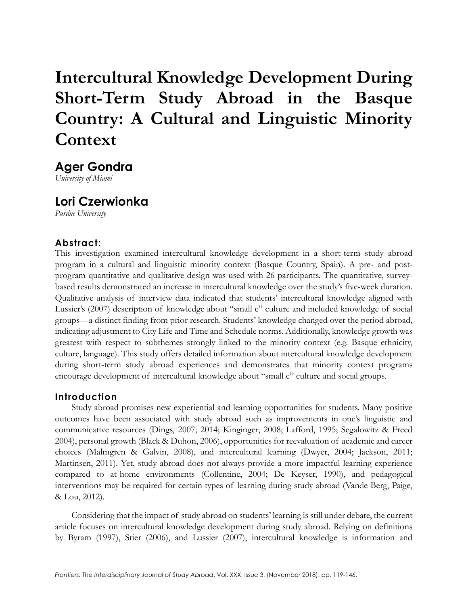# **Intercultural Knowledge Development During Short-Term Study Abroad in the Basque Country: A Cultural and Linguistic Minority Context**

**Ager Gondra**

*University of Miami*

## **Lori Czerwionka**

*Purdue University*

## **Abstract:**

This investigation examined intercultural knowledge development in a short-term study abroad program in a cultural and linguistic minority context (Basque Country, Spain). A pre- and postprogram quantitative and qualitative design was used with 26 participants. The quantitative, surveybased results demonstrated an increase in intercultural knowledge over the study's five-week duration. Qualitative analysis of interview data indicated that students' intercultural knowledge aligned with Lussier's (2007) description of knowledge about "small c" culture and included knowledge of social groups—a distinct finding from prior research. Students' knowledge changed over the period abroad, indicating adjustment to City Life and Time and Schedule norms. Additionally, knowledge growth was greatest with respect to subthemes strongly linked to the minority context (e.g. Basque ethnicity, culture, language). This study offers detailed information about intercultural knowledge development during short-term study abroad experiences and demonstrates that minority context programs encourage development of intercultural knowledge about "small c" culture and social groups.

## **Introduction**

Study abroad promises new experiential and learning opportunities for students. Many positive outcomes have been associated with study abroad such as improvements in one's linguistic and communicative resources (Dings, 2007; 2014; Kinginger, 2008; Lafford, 1995; Segalowitz & Freed 2004), personal growth (Black & Duhon, 2006), opportunities for reevaluation of academic and career choices (Malmgren & Galvin, 2008), and intercultural learning (Dwyer, 2004; Jackson, 2011; Martinsen, 2011). Yet, study abroad does not always provide a more impactful learning experience compared to at-home environments (Collentine, 2004; De Keyser, 1990), and pedagogical interventions may be required for certain types of learning during study abroad (Vande Berg, Paige, & Lou, 2012).

Considering that the impact of study abroad on students' learning is still under debate, the current article focuses on intercultural knowledge development during study abroad. Relying on definitions by Byram (1997), Stier (2006), and Lussier (2007), intercultural knowledge is information and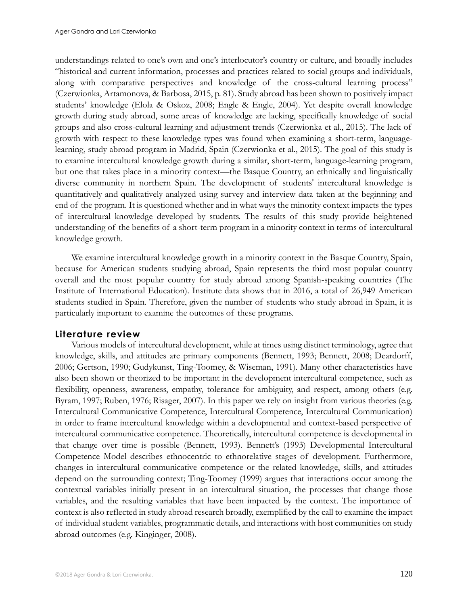understandings related to one's own and one's interlocutor's country or culture, and broadly includes "historical and current information, processes and practices related to social groups and individuals, along with comparative perspectives and knowledge of the cross-cultural learning process" (Czerwionka, Artamonova, & Barbosa, 2015, p. 81). Study abroad has been shown to positively impact students' knowledge (Elola & Oskoz, 2008; Engle & Engle, 2004). Yet despite overall knowledge growth during study abroad, some areas of knowledge are lacking, specifically knowledge of social groups and also cross-cultural learning and adjustment trends (Czerwionka et al., 2015). The lack of growth with respect to these knowledge types was found when examining a short-term, languagelearning, study abroad program in Madrid, Spain (Czerwionka et al., 2015). The goal of this study is to examine intercultural knowledge growth during a similar, short-term, language-learning program, but one that takes place in a minority context—the Basque Country, an ethnically and linguistically diverse community in northern Spain. The development of students' intercultural knowledge is quantitatively and qualitatively analyzed using survey and interview data taken at the beginning and end of the program. It is questioned whether and in what ways the minority context impacts the types of intercultural knowledge developed by students. The results of this study provide heightened understanding of the benefits of a short-term program in a minority context in terms of intercultural knowledge growth.

We examine intercultural knowledge growth in a minority context in the Basque Country, Spain, because for American students studying abroad, Spain represents the third most popular country overall and the most popular country for study abroad among Spanish-speaking countries (The Institute of International Education). Institute data shows that in 2016, a total of 26,949 American students studied in Spain. Therefore, given the number of students who study abroad in Spain, it is particularly important to examine the outcomes of these programs.

## **Literature review**

Various models of intercultural development, while at times using distinct terminology, agree that knowledge, skills, and attitudes are primary components (Bennett, 1993; Bennett, 2008; Deardorff, 2006; Gertson, 1990; Gudykunst, Ting-Toomey, & Wiseman, 1991). Many other characteristics have also been shown or theorized to be important in the development intercultural competence, such as flexibility, openness, awareness, empathy, tolerance for ambiguity, and respect, among others (e.g. Byram, 1997; Ruben, 1976; Risager, 2007). In this paper we rely on insight from various theories (e.g. Intercultural Communicative Competence, Intercultural Competence, Intercultural Communication) in order to frame intercultural knowledge within a developmental and context-based perspective of intercultural communicative competence. Theoretically, intercultural competence is developmental in that change over time is possible (Bennett, 1993). Bennett's (1993) Developmental Intercultural Competence Model describes ethnocentric to ethnorelative stages of development. Furthermore, changes in intercultural communicative competence or the related knowledge, skills, and attitudes depend on the surrounding context; Ting-Toomey (1999) argues that interactions occur among the contextual variables initially present in an intercultural situation, the processes that change those variables, and the resulting variables that have been impacted by the context. The importance of context is also reflected in study abroad research broadly, exemplified by the call to examine the impact of individual student variables, programmatic details, and interactions with host communities on study abroad outcomes (e.g. Kinginger, 2008).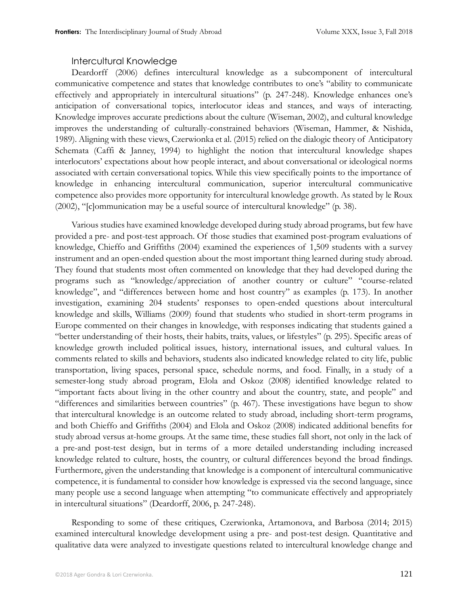#### Intercultural Knowledge

Deardorff (2006) defines intercultural knowledge as a subcomponent of intercultural communicative competence and states that knowledge contributes to one's "ability to communicate effectively and appropriately in intercultural situations" (p. 247-248). Knowledge enhances one's anticipation of conversational topics, interlocutor ideas and stances, and ways of interacting. Knowledge improves accurate predictions about the culture (Wiseman, 2002), and cultural knowledge improves the understanding of culturally-constrained behaviors (Wiseman, Hammer, & Nishida, 1989). Aligning with these views, Czerwionka et al. (2015) relied on the dialogic theory of Anticipatory Schemata (Caffi & Janney, 1994) to highlight the notion that intercultural knowledge shapes interlocutors' expectations about how people interact, and about conversational or ideological norms associated with certain conversational topics. While this view specifically points to the importance of knowledge in enhancing intercultural communication, superior intercultural communicative competence also provides more opportunity for intercultural knowledge growth. As stated by le Roux (2002), "[c]ommunication may be a useful source of intercultural knowledge" (p. 38).

Various studies have examined knowledge developed during study abroad programs, but few have provided a pre- and post-test approach. Of those studies that examined post-program evaluations of knowledge, Chieffo and Griffiths (2004) examined the experiences of 1,509 students with a survey instrument and an open-ended question about the most important thing learned during study abroad. They found that students most often commented on knowledge that they had developed during the programs such as "knowledge/appreciation of another country or culture" "course-related knowledge", and "differences between home and host country" as examples (p. 173). In another investigation, examining 204 students' responses to open-ended questions about intercultural knowledge and skills, Williams (2009) found that students who studied in short-term programs in Europe commented on their changes in knowledge, with responses indicating that students gained a "better understanding of their hosts, their habits, traits, values, or lifestyles" (p. 295). Specific areas of knowledge growth included political issues, history, international issues, and cultural values. In comments related to skills and behaviors, students also indicated knowledge related to city life, public transportation, living spaces, personal space, schedule norms, and food. Finally, in a study of a semester-long study abroad program, Elola and Oskoz (2008) identified knowledge related to "important facts about living in the other country and about the country, state, and people" and "differences and similarities between countries" (p. 467). These investigations have begun to show that intercultural knowledge is an outcome related to study abroad, including short-term programs, and both Chieffo and Griffiths (2004) and Elola and Oskoz (2008) indicated additional benefits for study abroad versus at-home groups. At the same time, these studies fall short, not only in the lack of a pre-and post-test design, but in terms of a more detailed understanding including increased knowledge related to culture, hosts, the country, or cultural differences beyond the broad findings. Furthermore, given the understanding that knowledge is a component of intercultural communicative competence, it is fundamental to consider how knowledge is expressed via the second language, since many people use a second language when attempting "to communicate effectively and appropriately in intercultural situations" (Deardorff, 2006, p. 247-248).

Responding to some of these critiques, Czerwionka, Artamonova, and Barbosa (2014; 2015) examined intercultural knowledge development using a pre- and post-test design. Quantitative and qualitative data were analyzed to investigate questions related to intercultural knowledge change and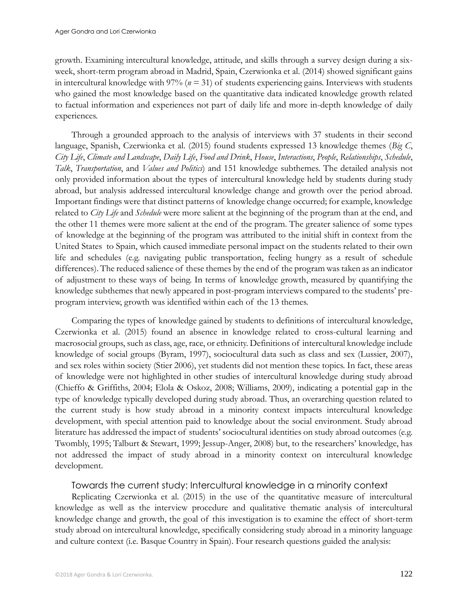growth. Examining intercultural knowledge, attitude, and skills through a survey design during a sixweek, short-term program abroad in Madrid, Spain, Czerwionka et al. (2014) showed significant gains in intercultural knowledge with 97% (*n* = 31) of students experiencing gains. Interviews with students who gained the most knowledge based on the quantitative data indicated knowledge growth related to factual information and experiences not part of daily life and more in-depth knowledge of daily experiences.

Through a grounded approach to the analysis of interviews with 37 students in their second language, Spanish, Czerwionka et al. (2015) found students expressed 13 knowledge themes (*Big C*, *City Life*, *Climate and Landscape*, *Daily Life*, *Food and Drink*, *House*, *Interactions*, *People*, *Relationships*, *Schedule*, *Talk*, *Transportation*, and *Values and Politics*) and 151 knowledge subthemes. The detailed analysis not only provided information about the types of intercultural knowledge held by students during study abroad, but analysis addressed intercultural knowledge change and growth over the period abroad. Important findings were that distinct patterns of knowledge change occurred; for example, knowledge related to *City Life* and *Schedule* were more salient at the beginning of the program than at the end, and the other 11 themes were more salient at the end of the program. The greater salience of some types of knowledge at the beginning of the program was attributed to the initial shift in context from the United States to Spain, which caused immediate personal impact on the students related to their own life and schedules (e.g. navigating public transportation, feeling hungry as a result of schedule differences). The reduced salience of these themes by the end of the program was taken as an indicator of adjustment to these ways of being. In terms of knowledge growth, measured by quantifying the knowledge subthemes that newly appeared in post-program interviews compared to the students' preprogram interview, growth was identified within each of the 13 themes.

Comparing the types of knowledge gained by students to definitions of intercultural knowledge, Czerwionka et al. (2015) found an absence in knowledge related to cross-cultural learning and macrosocial groups, such as class, age, race, or ethnicity. Definitions of intercultural knowledge include knowledge of social groups (Byram, 1997), sociocultural data such as class and sex (Lussier, 2007), and sex roles within society (Stier 2006), yet students did not mention these topics. In fact, these areas of knowledge were not highlighted in other studies of intercultural knowledge during study abroad (Chieffo & Griffiths, 2004; Elola & Oskoz, 2008; Williams, 2009), indicating a potential gap in the type of knowledge typically developed during study abroad. Thus, an overarching question related to the current study is how study abroad in a minority context impacts intercultural knowledge development, with special attention paid to knowledge about the social environment. Study abroad literature has addressed the impact of students' sociocultural identities on study abroad outcomes (e.g. Twombly, 1995; Talburt & Stewart, 1999; Jessup-Anger, 2008) but, to the researchers' knowledge, has not addressed the impact of study abroad in a minority context on intercultural knowledge development.

#### Towards the current study: Intercultural knowledge in a minority context

Replicating Czerwionka et al. (2015) in the use of the quantitative measure of intercultural knowledge as well as the interview procedure and qualitative thematic analysis of intercultural knowledge change and growth, the goal of this investigation is to examine the effect of short-term study abroad on intercultural knowledge, specifically considering study abroad in a minority language and culture context (i.e. Basque Country in Spain). Four research questions guided the analysis: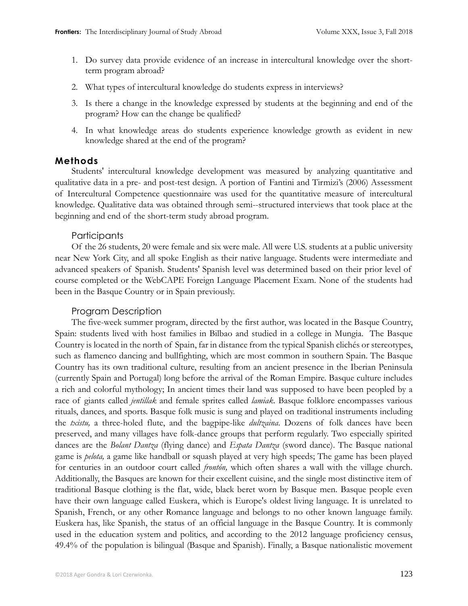- 1. Do survey data provide evidence of an increase in intercultural knowledge over the shortterm program abroad?
- 2. What types of intercultural knowledge do students express in interviews?
- 3. Is there a change in the knowledge expressed by students at the beginning and end of the program? How can the change be qualified?
- 4. In what knowledge areas do students experience knowledge growth as evident in new knowledge shared at the end of the program?

## **Methods**

Students' intercultural knowledge development was measured by analyzing quantitative and qualitative data in a pre- and post-test design. A portion of Fantini and Tirmizi's (2006) Assessment of Intercultural Competence questionnaire was used for the quantitative measure of intercultural knowledge. Qualitative data was obtained through semi--structured interviews that took place at the beginning and end of the short-term study abroad program.

## **Participants**

Of the 26 students, 20 were female and six were male. All were U.S. students at a public university near New York City, and all spoke English as their native language. Students were intermediate and advanced speakers of Spanish. Students' Spanish level was determined based on their prior level of course completed or the WebCAPE Foreign Language Placement Exam. None of the students had been in the Basque Country or in Spain previously.

#### Program Description

The five-week summer program, directed by the first author, was located in the Basque Country, Spain: students lived with host families in Bilbao and studied in a college in Mungia. The Basque Country is located in the north of Spain, far in distance from the typical Spanish clichés or stereotypes, such as flamenco dancing and bullfighting, which are most common in southern Spain. The Basque Country has its own traditional culture, resulting from an ancient presence in the Iberian Peninsula (currently Spain and Portugal) long before the arrival of the Roman Empire. Basque culture includes a rich and colorful mythology; In ancient times their land was supposed to have been peopled by a race of giants called *jentillak* and female sprites called *lamiak*. Basque folklore encompasses various rituals, dances, and sports. Basque folk music is sung and played on traditional instruments including the *txistu,* a three-holed flute, and the bagpipe-like *dultzaina*. Dozens of folk dances have been preserved, and many villages have folk-dance groups that perform regularly. Two especially spirited dances are the *Bolant Dantza* (flying dance) and *Espata Dantza* (sword dance). The Basque national game is *pelota,* a game like handball or squash played at very high speeds; The game has been played for centuries in an outdoor court called *frontón,* which often shares a wall with the village church. Additionally, the Basques are known for their excellent cuisine, and the single most distinctive item of traditional Basque clothing is the flat, wide, black beret worn by Basque men. Basque people even have their own language called Euskera, which is Europe's oldest living language. It is unrelated to Spanish, French, or any other Romance language and belongs to no other known language family. Euskera has, like Spanish, the status of an official language in the Basque Country. It is commonly used in the education system and politics, and according to the 2012 language proficiency census, 49.4% of the population is bilingual (Basque and Spanish). Finally, a Basque nationalistic movement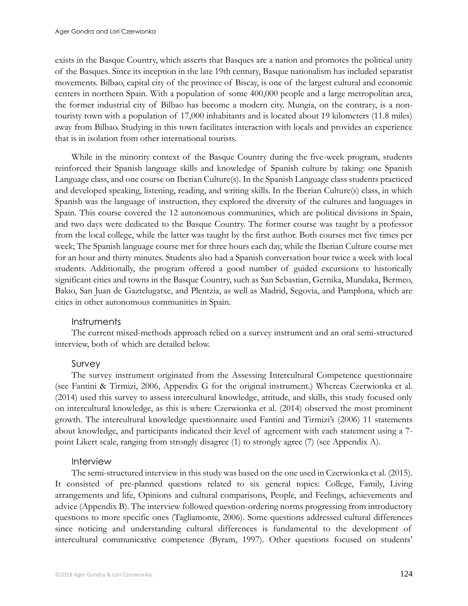exists in the Basque Country, which asserts that Basques are a nation and promotes the political unity of the Basques. Since its inception in the late 19th century, Basque nationalism has included separatist movements. Bilbao, capital city of the province of Biscay, is one of the largest cultural and economic centers in northern Spain. With a population of some 400,000 people and a large metropolitan area, the former industrial city of Bilbao has become a modern city. Mungia, on the contrary, is a nontouristy town with a population of 17,000 inhabitants and is located about 19 kilometers (11.8 miles) away from Bilbao. Studying in this town facilitates interaction with locals and provides an experience that is in isolation from other international tourists.

While in the minority context of the Basque Country during the five-week program, students reinforced their Spanish language skills and knowledge of Spanish culture by taking: one Spanish Language class, and one course on Iberian Culture(s). In the Spanish Language class students practiced and developed speaking, listening, reading, and writing skills. In the Iberian Culture(s) class, in which Spanish was the language of instruction, they explored the diversity of the cultures and languages in Spain. This course covered the 12 autonomous communities, which are political divisions in Spain, and two days were dedicated to the Basque Country. The former course was taught by a professor from the local college, while the latter was taught by the first author. Both courses met five times per week; The Spanish language course met for three hours each day, while the Iberian Culture course met for an hour and thirty minutes. Students also had a Spanish conversation hour twice a week with local students. Additionally, the program offered a good number of guided excursions to historically significant cities and towns in the Basque Country, such as San Sebastian, Gernika, Mundaka, Bermeo, Bakio, San Juan de Gaztelugatxe, and Plentzia, as well as Madrid, Segovia, and Pamplona, which are cities in other autonomous communities in Spain.

#### **Instruments**

The current mixed-methods approach relied on a survey instrument and an oral semi-structured interview, both of which are detailed below.

#### Survey

The survey instrument originated from the Assessing Intercultural Competence questionnaire (see Fantini & Tirmizi, 2006, Appendix G for the original instrument.) Whereas Czerwionka et al. (2014) used this survey to assess intercultural knowledge, attitude, and skills, this study focused only on intercultural knowledge, as this is where Czerwionka et al. (2014) observed the most prominent growth. The intercultural knowledge questionnaire used Fantini and Tirmizi's (2006) 11 statements about knowledge, and participants indicated their level of agreement with each statement using a 7 point Likert scale, ranging from strongly disagree (1) to strongly agree (7) (see Appendix A).

#### Interview

The semi-structured interview in this study was based on the one used in Czerwionka et al. (2015). It consisted of pre-planned questions related to six general topics: College, Family, Living arrangements and life, Opinions and cultural comparisons, People, and Feelings, achievements and advice (Appendix B). The interview followed question-ordering norms progressing from introductory questions to more specific ones (Tagliamonte, 2006). Some questions addressed cultural differences since noticing and understanding cultural differences is fundamental to the development of intercultural communicative competence (Byram, 1997). Other questions focused on students'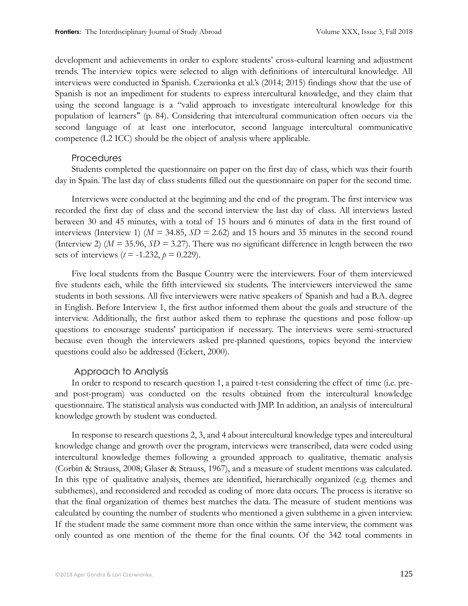development and achievements in order to explore students' cross-cultural learning and adjustment trends. The interview topics were selected to align with definitions of intercultural knowledge. All interviews were conducted in Spanish. Czerwionka et al.'s (2014; 2015) findings show that the use of Spanish is not an impediment for students to express intercultural knowledge, and they claim that using the second language is a "valid approach to investigate intercultural knowledge for this population of learners" (p. 84). Considering that intercultural communication often occurs via the second language of at least one interlocutor, second language intercultural communicative competence (L2 ICC) should be the object of analysis where applicable.

#### Procedures

Students completed the questionnaire on paper on the first day of class, which was their fourth day in Spain. The last day of class students filled out the questionnaire on paper for the second time.

Interviews were conducted at the beginning and the end of the program. The first interview was recorded the first day of class and the second interview the last day of class. All interviews lasted between 30 and 45 minutes, with a total of 15 hours and 6 minutes of data in the first round of interviews (Interview 1) (*M =* 34.85, *SD =* 2.62) and 15 hours and 35 minutes in the second round (Interview 2) (*M =* 35.96, *SD =* 3.27). There was no significant difference in length between the two sets of interviews ( $t = -1.232$ ,  $p = 0.229$ ).

Five local students from the Basque Country were the interviewers. Four of them interviewed five students each, while the fifth interviewed six students. The interviewers interviewed the same students in both sessions. All five interviewers were native speakers of Spanish and had a B.A. degree in English. Before Interview 1, the first author informed them about the goals and structure of the interview. Additionally, the first author asked them to rephrase the questions and pose follow-up questions to encourage students' participation if necessary. The interviews were semi-structured because even though the interviewers asked pre-planned questions, topics beyond the interview questions could also be addressed (Eckert, 2000).

#### Approach to Analysis

In order to respond to research question 1, a paired t-test considering the effect of time (i.e. preand post-program) was conducted on the results obtained from the intercultural knowledge questionnaire. The statistical analysis was conducted with JMP. In addition, an analysis of intercultural knowledge growth by student was conducted.

In response to research questions 2, 3, and 4 about intercultural knowledge types and intercultural knowledge change and growth over the program, interviews were transcribed, data were coded using intercultural knowledge themes following a grounded approach to qualitative, thematic analysis (Corbin & Strauss, 2008; Glaser & Strauss, 1967), and a measure of student mentions was calculated. In this type of qualitative analysis, themes are identified, hierarchically organized (e.g. themes and subthemes), and reconsidered and recoded as coding of more data occurs. The process is iterative so that the final organization of themes best matches the data. The measure of student mentions was calculated by counting the number of students who mentioned a given subtheme in a given interview. If the student made the same comment more than once within the same interview, the comment was only counted as one mention of the theme for the final counts. Of the 342 total comments in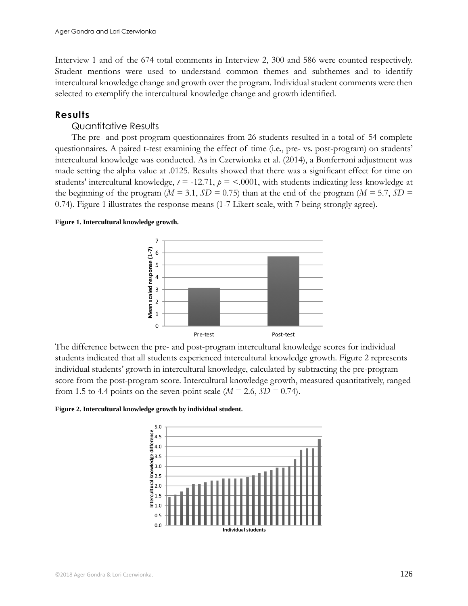Interview 1 and of the 674 total comments in Interview 2, 300 and 586 were counted respectively. Student mentions were used to understand common themes and subthemes and to identify intercultural knowledge change and growth over the program. Individual student comments were then selected to exemplify the intercultural knowledge change and growth identified.

#### **Results**

## Quantitative Results

The pre- and post-program questionnaires from 26 students resulted in a total of 54 complete questionnaires. A paired t-test examining the effect of time (i.e., pre- vs. post-program) on students' intercultural knowledge was conducted. As in Czerwionka et al. (2014), a Bonferroni adjustment was made setting the alpha value at .0125. Results showed that there was a significant effect for time on students' intercultural knowledge,  $t = -12.71$ ,  $p = <.0001$ , with students indicating less knowledge at the beginning of the program ( $M = 3.1$ ,  $SD = 0.75$ ) than at the end of the program ( $M = 5.7$ ,  $SD = 0.75$ ) 0.74). Figure 1 illustrates the response means (1-7 Likert scale, with 7 being strongly agree).

#### **Figure 1. Intercultural knowledge growth.**



The difference between the pre- and post-program intercultural knowledge scores for individual students indicated that all students experienced intercultural knowledge growth. Figure 2 represents individual students' growth in intercultural knowledge, calculated by subtracting the pre-program score from the post-program score. Intercultural knowledge growth, measured quantitatively, ranged from 1.5 to 4.4 points on the seven-point scale ( $M = 2.6$ ,  $SD = 0.74$ ).

#### **Figure 2. Intercultural knowledge growth by individual student.**

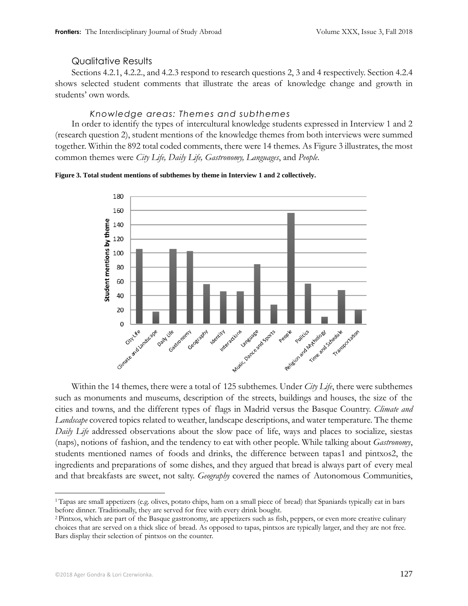#### Qualitative Results

Sections 4.2.1, 4.2.2., and 4.2.3 respond to research questions 2, 3 and 4 respectively. Section 4.2.4 shows selected student comments that illustrate the areas of knowledge change and growth in students' own words.

#### *Knowledge areas: Themes and subthemes*

In order to identify the types of intercultural knowledge students expressed in Interview 1 and 2 (research question 2), student mentions of the knowledge themes from both interviews were summed together. Within the 892 total coded comments, there were 14 themes. As Figure 3 illustrates, the most common themes were *City Life, Daily Life, Gastronomy, Languages*, and *People*.





Within the 14 themes, there were a total of 125 subthemes. Under *City Life*, there were subthemes such as monuments and museums, description of the streets, buildings and houses, the size of the cities and towns, and the different types of flags in Madrid versus the Basque Country. *Climate and Landscape* covered topics related to weather, landscape descriptions, and water temperature. The theme *Daily Life* addressed observations about the slow pace of life, ways and places to socialize, siestas (naps), notions of fashion, and the tendency to eat with other people. While talking about *Gastronomy*, students mentioned names of foods and drinks, the difference between tapas1 and pintxos2, the ingredients and preparations of some dishes, and they argued that bread is always part of every meal and that breakfasts are sweet, not salty. *Geography* covered the names of Autonomous Communities,

 $\overline{a}$ <sup>1</sup> Tapas are small appetizers (e.g. olives, potato chips, ham on a small piece of bread) that Spaniards typically eat in bars before dinner. Traditionally, they are served for free with every drink bought.

<sup>2</sup> Pintxos, which are part of the Basque gastronomy, are appetizers such as fish, peppers, or even more creative culinary choices that are served on a thick slice of bread. As opposed to tapas, pintxos are typically larger, and they are not free. Bars display their selection of pintxos on the counter.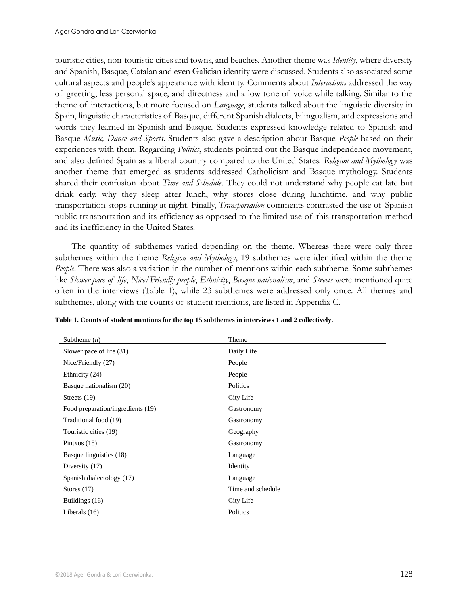touristic cities, non-touristic cities and towns, and beaches. Another theme was *Identity*, where diversity and Spanish, Basque, Catalan and even Galician identity were discussed. Students also associated some cultural aspects and people's appearance with identity. Comments about *Interactions* addressed the way of greeting, less personal space, and directness and a low tone of voice while talking. Similar to the theme of interactions, but more focused on *Language*, students talked about the linguistic diversity in Spain, linguistic characteristics of Basque, different Spanish dialects, bilingualism, and expressions and words they learned in Spanish and Basque. Students expressed knowledge related to Spanish and Basque *Music, Dance and Sports*. Students also gave a description about Basque *People* based on their experiences with them. Regarding *Politics*, students pointed out the Basque independence movement, and also defined Spain as a liberal country compared to the United States. *Religion and Mythology* was another theme that emerged as students addressed Catholicism and Basque mythology. Students shared their confusion about *Time and Schedule*. They could not understand why people eat late but drink early, why they sleep after lunch, why stores close during lunchtime, and why public transportation stops running at night. Finally, *Transportation* comments contrasted the use of Spanish public transportation and its efficiency as opposed to the limited use of this transportation method and its inefficiency in the United States.

The quantity of subthemes varied depending on the theme. Whereas there were only three subthemes within the theme *Religion and Mythology*, 19 subthemes were identified within the theme *People*. There was also a variation in the number of mentions within each subtheme. Some subthemes like *Slower pace of life*, *Nice/Friendly people*, *Ethnicity*, *Basque nationalism*, and *Streets* were mentioned quite often in the interviews (Table 1), while 23 subthemes were addressed only once. All themes and subthemes, along with the counts of student mentions, are listed in Appendix C.

| Subtheme $(n)$                    | Theme             |
|-----------------------------------|-------------------|
| Slower pace of life (31)          | Daily Life        |
| Nice/Friendly (27)                | People            |
| Ethnicity (24)                    | People            |
| Basque nationalism (20)           | Politics          |
| Streets $(19)$                    | City Life         |
| Food preparation/ingredients (19) | Gastronomy        |
| Traditional food (19)             | Gastronomy        |
| Touristic cities (19)             | Geography         |
| Pintxos $(18)$                    | Gastronomy        |
| Basque linguistics (18)           | Language          |
| Diversity (17)                    | Identity          |
| Spanish dialectology (17)         | Language          |
| Stores $(17)$                     | Time and schedule |
| Buildings (16)                    | City Life         |
| Liberals $(16)$                   | Politics          |

**Table 1. Counts of student mentions for the top 15 subthemes in interviews 1 and 2 collectively.**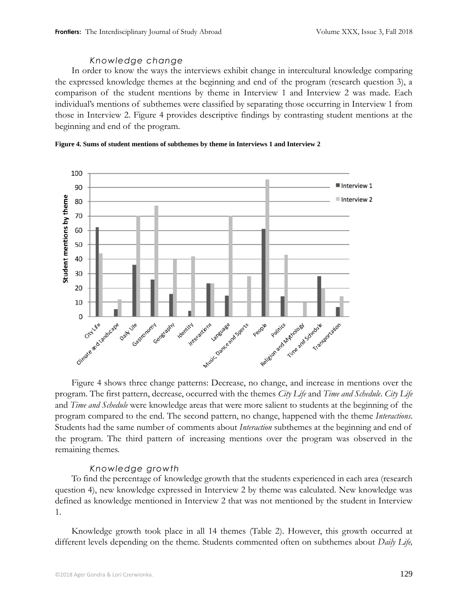## *Knowledge change*

In order to know the ways the interviews exhibit change in intercultural knowledge comparing the expressed knowledge themes at the beginning and end of the program (research question 3), a comparison of the student mentions by theme in Interview 1 and Interview 2 was made. Each individual's mentions of subthemes were classified by separating those occurring in Interview 1 from those in Interview 2. Figure 4 provides descriptive findings by contrasting student mentions at the beginning and end of the program.



#### **Figure 4. Sums of student mentions of subthemes by theme in Interviews 1 and Interview 2**

Figure 4 shows three change patterns: Decrease, no change, and increase in mentions over the program. The first pattern, decrease, occurred with the themes *City Life* and *Time and Schedule*. *City Life* and *Time and Schedule* were knowledge areas that were more salient to students at the beginning of the program compared to the end. The second pattern, no change, happened with the theme *Interactions*. Students had the same number of comments about *Interaction* subthemes at the beginning and end of the program. The third pattern of increasing mentions over the program was observed in the remaining themes.

## *Knowledge growth*

To find the percentage of knowledge growth that the students experienced in each area (research question 4), new knowledge expressed in Interview 2 by theme was calculated. New knowledge was defined as knowledge mentioned in Interview 2 that was not mentioned by the student in Interview 1.

Knowledge growth took place in all 14 themes (Table 2). However, this growth occurred at different levels depending on the theme. Students commented often on subthemes about *Daily Life,*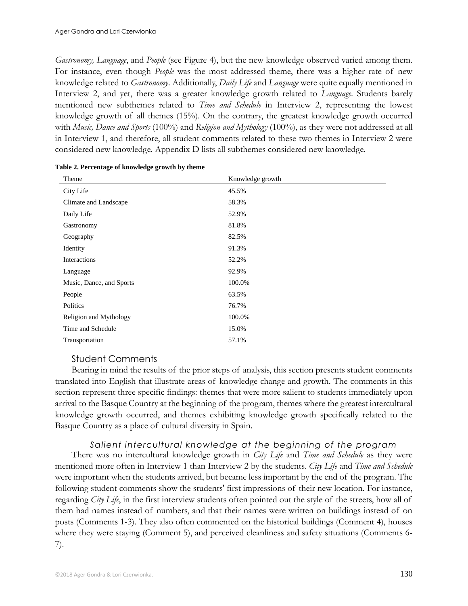*Gastronomy, Language*, and *People* (see Figure 4), but the new knowledge observed varied among them. For instance, even though *People* was the most addressed theme, there was a higher rate of new knowledge related to *Gastronomy*. Additionally, *Daily Life* and *Language* were quite equally mentioned in Interview 2, and yet, there was a greater knowledge growth related to *Language*. Students barely mentioned new subthemes related to *Time and Schedule* in Interview 2, representing the lowest knowledge growth of all themes (15%). On the contrary, the greatest knowledge growth occurred with *Music, Dance and Sports* (100%) and *Religion and Mythology* (100%), as they were not addressed at all in Interview 1, and therefore, all student comments related to these two themes in Interview 2 were considered new knowledge. Appendix D lists all subthemes considered new knowledge.

| Theme                    | Knowledge growth |
|--------------------------|------------------|
| City Life                | 45.5%            |
| Climate and Landscape    | 58.3%            |
| Daily Life               | 52.9%            |
| Gastronomy               | 81.8%            |
| Geography                | 82.5%            |
| Identity                 | 91.3%            |
| Interactions             | 52.2%            |
| Language                 | 92.9%            |
| Music, Dance, and Sports | 100.0%           |
| People                   | 63.5%            |
| Politics                 | 76.7%            |
| Religion and Mythology   | 100.0%           |
| Time and Schedule        | 15.0%            |
| Transportation           | 57.1%            |

**Table 2. Percentage of knowledge growth by theme**

## Student Comments

Bearing in mind the results of the prior steps of analysis, this section presents student comments translated into English that illustrate areas of knowledge change and growth. The comments in this section represent three specific findings: themes that were more salient to students immediately upon arrival to the Basque Country at the beginning of the program, themes where the greatest intercultural knowledge growth occurred, and themes exhibiting knowledge growth specifically related to the Basque Country as a place of cultural diversity in Spain*.*

#### *Salient intercultural knowledge at the beginning of the program*

There was no intercultural knowledge growth in *City Life* and *Time and Schedule* as they were mentioned more often in Interview 1 than Interview 2 by the students. *City Life* and *Time and Schedule*  were important when the students arrived, but became less important by the end of the program. The following student comments show the students' first impressions of their new location. For instance, regarding *City Life*, in the first interview students often pointed out the style of the streets, how all of them had names instead of numbers, and that their names were written on buildings instead of on posts (Comments 1-3). They also often commented on the historical buildings (Comment 4), houses where they were staying (Comment 5), and perceived cleanliness and safety situations (Comments 6- 7).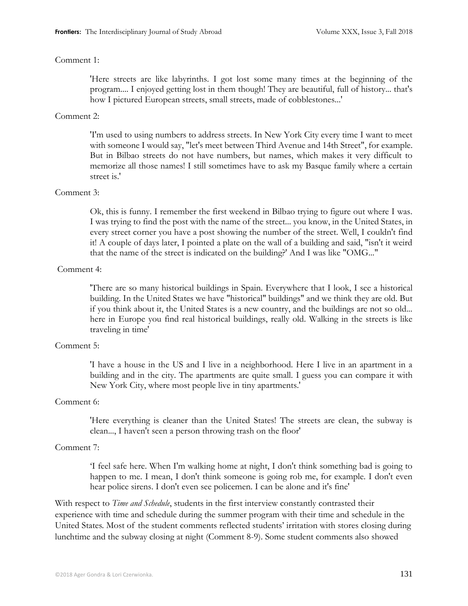#### Comment 1:

'Here streets are like labyrinths. I got lost some many times at the beginning of the program.... I enjoyed getting lost in them though! They are beautiful, full of history... that's how I pictured European streets, small streets, made of cobblestones...'

#### Comment 2:

'I'm used to using numbers to address streets. In New York City every time I want to meet with someone I would say, "let's meet between Third Avenue and 14th Street", for example. But in Bilbao streets do not have numbers, but names, which makes it very difficult to memorize all those names! I still sometimes have to ask my Basque family where a certain street is.'

#### Comment 3:

Ok, this is funny. I remember the first weekend in Bilbao trying to figure out where I was. I was trying to find the post with the name of the street... you know, in the United States, in every street corner you have a post showing the number of the street. Well, I couldn't find it! A couple of days later, I pointed a plate on the wall of a building and said, "isn't it weird that the name of the street is indicated on the building?' And I was like "OMG..."

#### Comment 4:

'There are so many historical buildings in Spain. Everywhere that I look, I see a historical building. In the United States we have "historical" buildings" and we think they are old. But if you think about it, the United States is a new country, and the buildings are not so old... here in Europe you find real historical buildings, really old. Walking in the streets is like traveling in time'

#### Comment 5:

'I have a house in the US and I live in a neighborhood. Here I live in an apartment in a building and in the city. The apartments are quite small. I guess you can compare it with New York City, where most people live in tiny apartments.'

#### Comment 6:

'Here everything is cleaner than the United States! The streets are clean, the subway is clean..., I haven't seen a person throwing trash on the floor'

#### Comment 7:

'I feel safe here. When I'm walking home at night, I don't think something bad is going to happen to me. I mean, I don't think someone is going rob me, for example. I don't even hear police sirens. I don't even see policemen. I can be alone and it's fine'

With respect to *Time and Schedule*, students in the first interview constantly contrasted their experience with time and schedule during the summer program with their time and schedule in the United States. Most of the student comments reflected students' irritation with stores closing during lunchtime and the subway closing at night (Comment 8-9). Some student comments also showed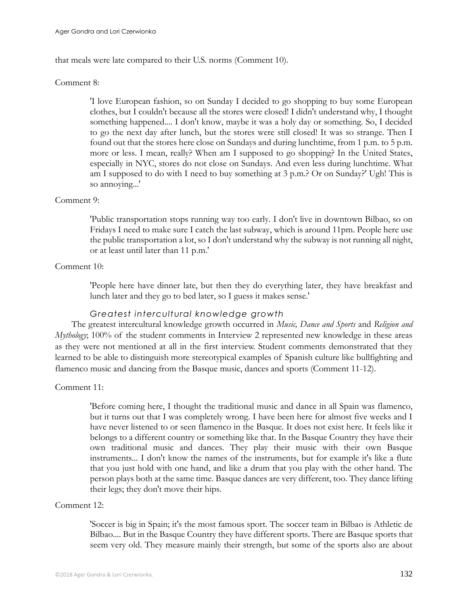that meals were late compared to their U.S. norms (Comment 10).

#### Comment 8:

'I love European fashion, so on Sunday I decided to go shopping to buy some European clothes, but I couldn't because all the stores were closed! I didn't understand why, I thought something happened.... I don't know, maybe it was a holy day or something. So, I decided to go the next day after lunch, but the stores were still closed! It was so strange. Then I found out that the stores here close on Sundays and during lunchtime, from 1 p.m. to 5 p.m. more or less. I mean, really? When am I supposed to go shopping? In the United States, especially in NYC, stores do not close on Sundays. And even less during lunchtime. What am I supposed to do with I need to buy something at 3 p.m.? Or on Sunday?' Ugh! This is so annoying...'

#### Comment 9:

'Public transportation stops running way too early. I don't live in downtown Bilbao, so on Fridays I need to make sure I catch the last subway, which is around 11pm. People here use the public transportation a lot, so I don't understand why the subway is not running all night, or at least until later than 11 p.m.'

#### Comment 10:

'People here have dinner late, but then they do everything later, they have breakfast and lunch later and they go to bed later, so I guess it makes sense.'

#### *Greatest intercultural knowledge growth*

The greatest intercultural knowledge growth occurred in *Music, Dance and Sports* and *Religion and Mythology*; 100% of the student comments in Interview 2 represented new knowledge in these areas as they were not mentioned at all in the first interview. Student comments demonstrated that they learned to be able to distinguish more stereotypical examples of Spanish culture like bullfighting and flamenco music and dancing from the Basque music, dances and sports (Comment 11-12).

#### Comment 11:

'Before coming here, I thought the traditional music and dance in all Spain was flamenco, but it turns out that I was completely wrong. I have been here for almost five weeks and I have never listened to or seen flamenco in the Basque. It does not exist here. It feels like it belongs to a different country or something like that. In the Basque Country they have their own traditional music and dances. They play their music with their own Basque instruments... I don't know the names of the instruments, but for example it's like a flute that you just hold with one hand, and like a drum that you play with the other hand. The person plays both at the same time. Basque dances are very different, too. They dance lifting their legs; they don't move their hips.

#### Comment 12:

'Soccer is big in Spain; it's the most famous sport. The soccer team in Bilbao is Athletic de Bilbao.... But in the Basque Country they have different sports. There are Basque sports that seem very old. They measure mainly their strength, but some of the sports also are about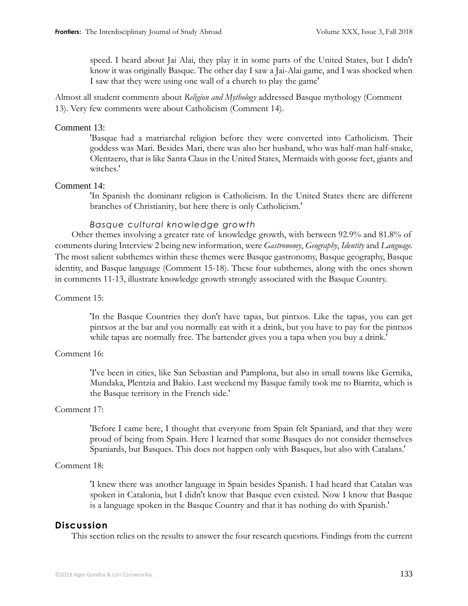speed. I heard about Jai Alai, they play it in some parts of the United States, but I didn't know it was originally Basque. The other day I saw a Jai-Alai game, and I was shocked when I saw that they were using one wall of a church to play the game'

Almost all student comments about *Religion and Mythology* addressed Basque mythology (Comment 13). Very few comments were about Catholicism (Comment 14).

#### Comment 13:

'Basque had a matriarchal religion before they were converted into Catholicism. Their goddess was Mari. Besides Mari, there was also her husband, who was half-man half-snake, Olentzero, that is like Santa Claus in the United States, Mermaids with goose feet, giants and witches.'

#### Comment 14:

'In Spanish the dominant religion is Catholicism. In the United States there are different branches of Christianity, but here there is only Catholicism.'

#### *Basque cultural knowledge growth*

Other themes involving a greater rate of knowledge growth, with between 92.9% and 81.8% of comments during Interview 2 being new information, were *Gastronomy*, *Geography*, *Identity* and *Language.*  The most salient subthemes within these themes were Basque gastronomy, Basque geography, Basque identity, and Basque language (Comment 15-18). These four subthemes, along with the ones shown in comments 11-13, illustrate knowledge growth strongly associated with the Basque Country.

#### Comment 15:

'In the Basque Countries they don't have tapas, but pintxos. Like the tapas, you can get pintxos at the bar and you normally eat with it a drink, but you have to pay for the pintxos while tapas are normally free. The bartender gives you a tapa when you buy a drink.'

#### Comment 16:

'I've been in cities, like San Sebastian and Pamplona, but also in small towns like Gernika, Mundaka, Plentzia and Bakio. Last weekend my Basque family took me to Biarritz, which is the Basque territory in the French side.'

#### Comment 17:

'Before I came here, I thought that everyone from Spain felt Spaniard, and that they were proud of being from Spain. Here I learned that some Basques do not consider themselves Spaniards, but Basques. This does not happen only with Basques, but also with Catalans.'

#### Comment 18:

'I knew there was another language in Spain besides Spanish. I had heard that Catalan was spoken in Catalonia, but I didn't know that Basque even existed. Now I know that Basque is a language spoken in the Basque Country and that it has nothing do with Spanish.'

#### **Discussion**

This section relies on the results to answer the four research questions. Findings from the current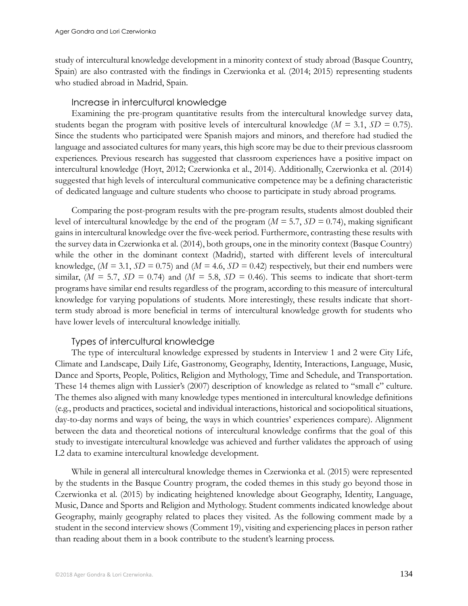study of intercultural knowledge development in a minority context of study abroad (Basque Country, Spain) are also contrasted with the findings in Czerwionka et al. (2014; 2015) representing students who studied abroad in Madrid, Spain.

#### Increase in intercultural knowledge

Examining the pre-program quantitative results from the intercultural knowledge survey data, students began the program with positive levels of intercultural knowledge (*M =* 3.1, *SD =* 0.75). Since the students who participated were Spanish majors and minors, and therefore had studied the language and associated cultures for many years, this high score may be due to their previous classroom experiences. Previous research has suggested that classroom experiences have a positive impact on intercultural knowledge (Hoyt, 2012; Czerwionka et al., 2014). Additionally, Czerwionka et al. (2014) suggested that high levels of intercultural communicative competence may be a defining characteristic of dedicated language and culture students who choose to participate in study abroad programs.

Comparing the post-program results with the pre-program results, students almost doubled their level of intercultural knowledge by the end of the program (*M =* 5.7, *SD =* 0.74), making significant gains in intercultural knowledge over the five-week period. Furthermore, contrasting these results with the survey data in Czerwionka et al. (2014), both groups, one in the minority context (Basque Country) while the other in the dominant context (Madrid), started with different levels of intercultural knowledge, (*M =* 3.1, *SD =* 0.75) and (*M =* 4.6, *SD =* 0.42) respectively, but their end numbers were similar,  $(M = 5.7, SD = 0.74)$  and  $(M = 5.8, SD = 0.46)$ . This seems to indicate that short-term programs have similar end results regardless of the program, according to this measure of intercultural knowledge for varying populations of students. More interestingly, these results indicate that shortterm study abroad is more beneficial in terms of intercultural knowledge growth for students who have lower levels of intercultural knowledge initially.

#### Types of intercultural knowledge

The type of intercultural knowledge expressed by students in Interview 1 and 2 were City Life, Climate and Landscape, Daily Life, Gastronomy, Geography, Identity, Interactions, Language, Music, Dance and Sports, People, Politics, Religion and Mythology, Time and Schedule, and Transportation. These 14 themes align with Lussier's (2007) description of knowledge as related to "small c" culture. The themes also aligned with many knowledge types mentioned in intercultural knowledge definitions (e.g., products and practices, societal and individual interactions, historical and sociopolitical situations, day-to-day norms and ways of being, the ways in which countries' experiences compare). Alignment between the data and theoretical notions of intercultural knowledge confirms that the goal of this study to investigate intercultural knowledge was achieved and further validates the approach of using L2 data to examine intercultural knowledge development.

While in general all intercultural knowledge themes in Czerwionka et al. (2015) were represented by the students in the Basque Country program, the coded themes in this study go beyond those in Czerwionka et al. (2015) by indicating heightened knowledge about Geography, Identity, Language, Music, Dance and Sports and Religion and Mythology. Student comments indicated knowledge about Geography, mainly geography related to places they visited. As the following comment made by a student in the second interview shows (Comment 19), visiting and experiencing places in person rather than reading about them in a book contribute to the student's learning process.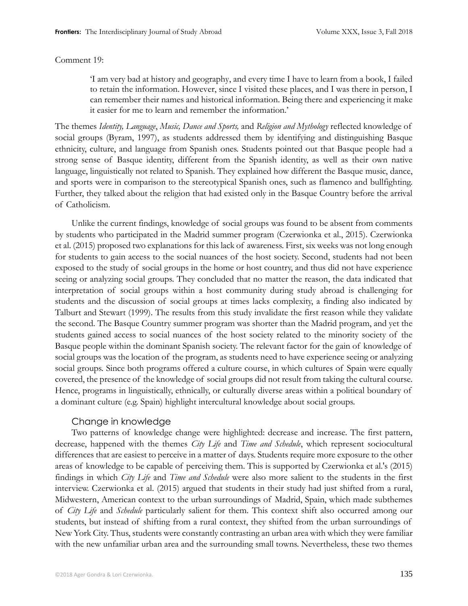#### Comment 19:

'I am very bad at history and geography, and every time I have to learn from a book, I failed to retain the information. However, since I visited these places, and I was there in person, I can remember their names and historical information. Being there and experiencing it make it easier for me to learn and remember the information.'

The themes *Identity, Language*, *Music, Dance and Sports,* and *Religion and Mythology* reflected knowledge of social groups (Byram, 1997), as students addressed them by identifying and distinguishing Basque ethnicity, culture, and language from Spanish ones. Students pointed out that Basque people had a strong sense of Basque identity, different from the Spanish identity, as well as their own native language, linguistically not related to Spanish. They explained how different the Basque music, dance, and sports were in comparison to the stereotypical Spanish ones, such as flamenco and bullfighting. Further, they talked about the religion that had existed only in the Basque Country before the arrival of Catholicism.

Unlike the current findings, knowledge of social groups was found to be absent from comments by students who participated in the Madrid summer program (Czerwionka et al., 2015). Czerwionka et al. (2015) proposed two explanations for this lack of awareness. First, six weeks was not long enough for students to gain access to the social nuances of the host society. Second, students had not been exposed to the study of social groups in the home or host country, and thus did not have experience seeing or analyzing social groups. They concluded that no matter the reason, the data indicated that interpretation of social groups within a host community during study abroad is challenging for students and the discussion of social groups at times lacks complexity, a finding also indicated by Talburt and Stewart (1999). The results from this study invalidate the first reason while they validate the second. The Basque Country summer program was shorter than the Madrid program, and yet the students gained access to social nuances of the host society related to the minority society of the Basque people within the dominant Spanish society. The relevant factor for the gain of knowledge of social groups was the location of the program, as students need to have experience seeing or analyzing social groups. Since both programs offered a culture course, in which cultures of Spain were equally covered, the presence of the knowledge of social groups did not result from taking the cultural course. Hence, programs in linguistically, ethnically, or culturally diverse areas within a political boundary of a dominant culture (e.g. Spain) highlight intercultural knowledge about social groups.

#### Change in knowledge

Two patterns of knowledge change were highlighted: decrease and increase. The first pattern, decrease, happened with the themes *City Life* and *Time and Schedule*, which represent sociocultural differences that are easiest to perceive in a matter of days. Students require more exposure to the other areas of knowledge to be capable of perceiving them. This is supported by Czerwionka et al.'s (2015) findings in which *City Life* and *Time and Schedule* were also more salient to the students in the first interview. Czerwionka et al. (2015) argued that students in their study had just shifted from a rural, Midwestern, American context to the urban surroundings of Madrid, Spain, which made subthemes of *City Life* and *Schedule* particularly salient for them. This context shift also occurred among our students, but instead of shifting from a rural context, they shifted from the urban surroundings of New York City. Thus, students were constantly contrasting an urban area with which they were familiar with the new unfamiliar urban area and the surrounding small towns. Nevertheless, these two themes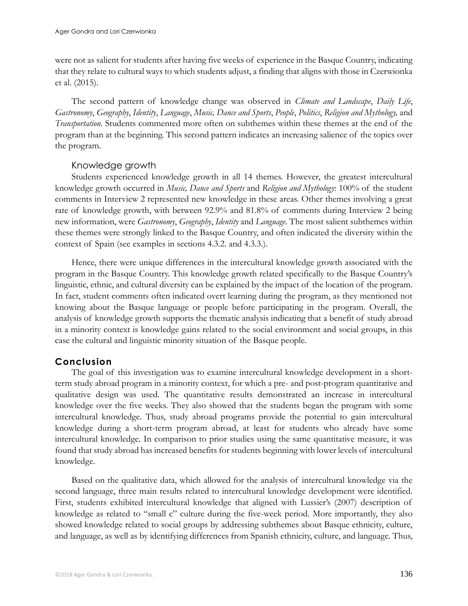were not as salient for students after having five weeks of experience in the Basque Country, indicating that they relate to cultural ways to which students adjust, a finding that aligns with those in Czerwionka et al. (2015).

The second pattern of knowledge change was observed in *Climate and Landscape*, *Daily Life*, *Gastronomy*, *Geography*, *Identity*, *Language*, *Music, Dance and Sports*, *People*, *Politics*, *Religion and Mythology,* and *Transportation*. Students commented more often on subthemes within these themes at the end of the program than at the beginning. This second pattern indicates an increasing salience of the topics over the program.

## Knowledge growth

Students experienced knowledge growth in all 14 themes. However, the greatest intercultural knowledge growth occurred in *Music, Dance and Sports* and *Religion and Mythology*: 100% of the student comments in Interview 2 represented new knowledge in these areas. Other themes involving a great rate of knowledge growth, with between 92.9% and 81.8% of comments during Interview 2 being new information, were *Gastronomy*, *Geography*, *Identity* and *Language*. The most salient subthemes within these themes were strongly linked to the Basque Country, and often indicated the diversity within the context of Spain (see examples in sections 4.3.2. and 4.3.3.).

Hence, there were unique differences in the intercultural knowledge growth associated with the program in the Basque Country. This knowledge growth related specifically to the Basque Country's linguistic, ethnic, and cultural diversity can be explained by the impact of the location of the program. In fact, student comments often indicated overt learning during the program, as they mentioned not knowing about the Basque language or people before participating in the program. Overall, the analysis of knowledge growth supports the thematic analysis indicating that a benefit of study abroad in a minority context is knowledge gains related to the social environment and social groups, in this case the cultural and linguistic minority situation of the Basque people.

## **Conclusion**

The goal of this investigation was to examine intercultural knowledge development in a shortterm study abroad program in a minority context, for which a pre- and post-program quantitative and qualitative design was used. The quantitative results demonstrated an increase in intercultural knowledge over the five weeks. They also showed that the students began the program with some intercultural knowledge. Thus, study abroad programs provide the potential to gain intercultural knowledge during a short-term program abroad, at least for students who already have some intercultural knowledge. In comparison to prior studies using the same quantitative measure, it was found that study abroad has increased benefits for students beginning with lower levels of intercultural knowledge.

Based on the qualitative data, which allowed for the analysis of intercultural knowledge via the second language, three main results related to intercultural knowledge development were identified. First, students exhibited intercultural knowledge that aligned with Lussier's (2007) description of knowledge as related to "small c" culture during the five-week period. More importantly, they also showed knowledge related to social groups by addressing subthemes about Basque ethnicity, culture, and language, as well as by identifying differences from Spanish ethnicity, culture, and language. Thus,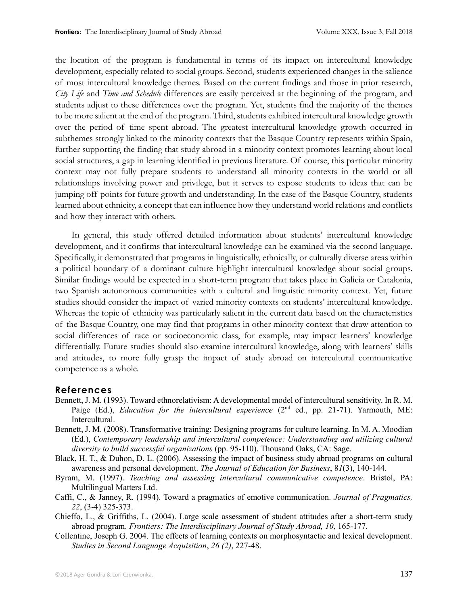the location of the program is fundamental in terms of its impact on intercultural knowledge development, especially related to social groups. Second, students experienced changes in the salience of most intercultural knowledge themes. Based on the current findings and those in prior research, *City Life* and *Time and Schedule* differences are easily perceived at the beginning of the program, and students adjust to these differences over the program. Yet, students find the majority of the themes to be more salient at the end of the program. Third, students exhibited intercultural knowledge growth over the period of time spent abroad. The greatest intercultural knowledge growth occurred in subthemes strongly linked to the minority contexts that the Basque Country represents within Spain, further supporting the finding that study abroad in a minority context promotes learning about local social structures, a gap in learning identified in previous literature. Of course, this particular minority context may not fully prepare students to understand all minority contexts in the world or all relationships involving power and privilege, but it serves to expose students to ideas that can be jumping off points for future growth and understanding. In the case of the Basque Country, students learned about ethnicity, a concept that can influence how they understand world relations and conflicts and how they interact with others.

In general, this study offered detailed information about students' intercultural knowledge development, and it confirms that intercultural knowledge can be examined via the second language. Specifically, it demonstrated that programs in linguistically, ethnically, or culturally diverse areas within a political boundary of a dominant culture highlight intercultural knowledge about social groups. Similar findings would be expected in a short-term program that takes place in Galicia or Catalonia, two Spanish autonomous communities with a cultural and linguistic minority context. Yet, future studies should consider the impact of varied minority contexts on students' intercultural knowledge. Whereas the topic of ethnicity was particularly salient in the current data based on the characteristics of the Basque Country, one may find that programs in other minority context that draw attention to social differences of race or socioeconomic class, for example, may impact learners' knowledge differentially. Future studies should also examine intercultural knowledge, along with learners' skills and attitudes, to more fully grasp the impact of study abroad on intercultural communicative competence as a whole.

#### **References**

- Bennett, J. M. (1993). Toward ethnorelativism: A developmental model of intercultural sensitivity. In R. M. Paige (Ed.), *Education for the intercultural experience* (2<sup>nd</sup> ed., pp. 21-71). Yarmouth, ME: Intercultural.
- Bennett, J. M. (2008). Transformative training: Designing programs for culture learning. In M. A. Moodian (Ed.), *Contemporary leadership and intercultural competence: Understanding and utilizing cultural diversity to build successful organizations* (pp. 95-110). Thousand Oaks, CA: Sage.
- Black, H. T., & Duhon, D. L. (2006). Assessing the impact of business study abroad programs on cultural awareness and personal development. *The Journal of Education for Business*, 8*1*(3), 140-144.
- Byram, M. (1997). *Teaching and assessing intercultural communicative competence*. Bristol, PA: Multilingual Matters Ltd.
- Caffi, C., & Janney, R. (1994). Toward a pragmatics of emotive communication. *Journal of Pragmatics, 22*, (3-4) 325-373.
- Chieffo, L., & Griffiths, L. (2004). Large scale assessment of student attitudes after a short-term study abroad program. *Frontiers: The Interdisciplinary Journal of Study Abroad, 10*, 165-177.
- Collentine, Joseph G. 2004. The effects of learning contexts on morphosyntactic and lexical development. *Studies in Second Language Acquisition*, *26 (2)*, 227-48.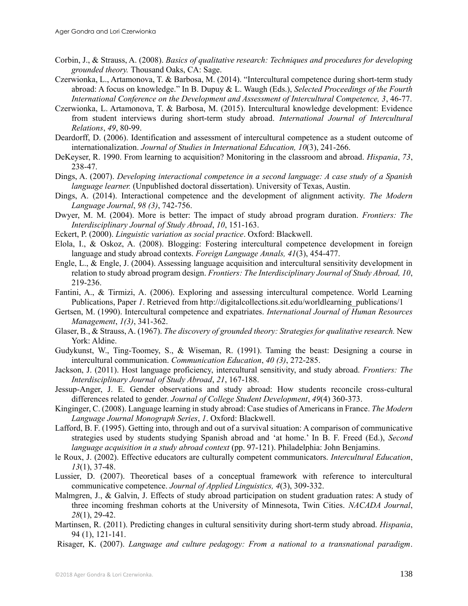- Corbin, J., & Strauss, A. (2008). *Basics of qualitative research: Techniques and procedures for developing grounded theory.* Thousand Oaks, CA: Sage.
- Czerwionka, L., Artamonova, T. & Barbosa, M. (2014). "Intercultural competence during short-term study abroad: A focus on knowledge." In B. Dupuy & L. Waugh (Eds.), *Selected Proceedings of the Fourth International Conference on the Development and Assessment of Intercultural Competence, 3*, 46-77.
- Czerwionka, L. Artamonova, T. & Barbosa, M. (2015). Intercultural knowledge development: Evidence from student interviews during short-term study abroad. *International Journal of Intercultural Relations*, *49*, 80-99.
- Deardorff, D. (2006). Identification and assessment of intercultural competence as a student outcome of internationalization. *Journal of Studies in International Education, 10*(3), 241-266.
- DeKeyser, R. 1990. From learning to acquisition? Monitoring in the classroom and abroad. *Hispania*, *73*, 238-47.
- Dings, A. (2007). *Developing interactional competence in a second language: A case study of a Spanish language learner.* (Unpublished doctoral dissertation). University of Texas, Austin.
- Dings, A. (2014). Interactional competence and the development of alignment activity. *The Modern Language Journal*, *98 (3)*, 742-756.
- Dwyer, M. M. (2004). More is better: The impact of study abroad program duration. *Frontiers: The Interdisciplinary Journal of Study Abroad*, *10*, 151-163.
- Eckert, P. (2000). *Linguistic variation as social practice*. Oxford: Blackwell.
- Elola, I., & Oskoz, A. (2008). Blogging: Fostering intercultural competence development in foreign language and study abroad contexts. *Foreign Language Annals, 41*(3), 454-477.
- Engle, L., & Engle, J. (2004). Assessing language acquisition and intercultural sensitivity development in relation to study abroad program design. *Frontiers: The Interdisciplinary Journal of Study Abroad, 10*, 219-236.
- Fantini, A., & Tirmizi, A. (2006). Exploring and assessing intercultural competence. World Learning Publications, Paper *1*. Retrieved from http://digitalcollections.sit.edu/worldlearning\_publications/1
- Gertsen, M. (1990). Intercultural competence and expatriates. *International Journal of Human Resources Management*, *1(3)*, 341-362.
- Glaser, B., & Strauss, A. (1967). *The discovery of grounded theory: Strategies for qualitative research.* New York: Aldine.
- Gudykunst, W., Ting-Toomey, S., & Wiseman, R. (1991). Taming the beast: Designing a course in intercultural communication. *Communication Education*, *40 (3)*, 272-285.
- Jackson, J. (2011). Host language proficiency, intercultural sensitivity, and study abroad. *Frontiers: The Interdisciplinary Journal of Study Abroad*, *21*, 167-188.
- Jessup-Anger, J. E. Gender observations and study abroad: How students reconcile cross-cultural differences related to gender. *Journal of College Student Development*, *49*(4) 360-373.
- Kinginger, C. (2008). Language learning in study abroad: Case studies of Americans in France. *The Modern Language Journal Monograph Series*, *1*. Oxford: Blackwell.
- Lafford, B. F. (1995). Getting into, through and out of a survival situation: A comparison of communicative strategies used by students studying Spanish abroad and 'at home.' In B. F. Freed (Ed.), *Second language acquisition in a study abroad context* (pp. 97-121). Philadelphia: John Benjamins.
- le Roux, J. (2002). Effective educators are culturally competent communicators. *Intercultural Education*, *13*(1), 37-48.
- Lussier, D. (2007). Theoretical bases of a conceptual framework with reference to intercultural communicative competence. *Journal of Applied Linguistics, 4*(3), 309-332.
- Malmgren, J., & Galvin, J. Effects of study abroad participation on student graduation rates: A study of three incoming freshman cohorts at the University of Minnesota, Twin Cities. *NACADA Journal*, *28*(1), 29-42.
- Martinsen, R. (2011). Predicting changes in cultural sensitivity during short-term study abroad. *Hispania*, 94 (1), 121-141.
- Risager, K. (2007). *Language and culture pedagogy: From a national to a transnational paradigm*.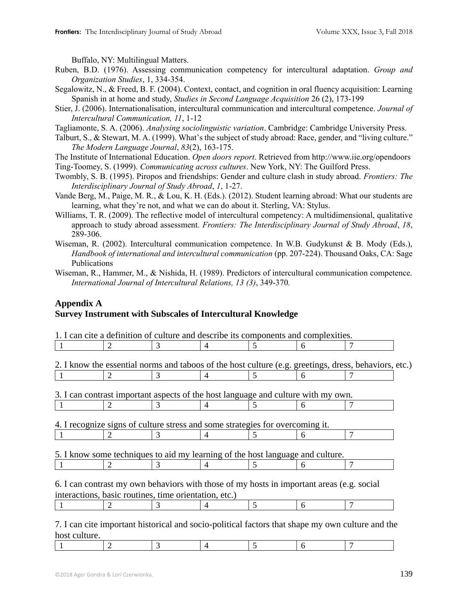Buffalo, NY: Multilingual Matters.

- Ruben, B.D. (1976). Assessing communication competency for intercultural adaptation. *Group and Organization Studies*, 1, 334-354.
- Segalowitz, N., & Freed, B. F. (2004). Context, contact, and cognition in oral fluency acquisition: Learning Spanish in at home and study, *Studies in Second Language Acquisition* 26 (2), 173-199
- Stier, J. (2006). Internationalisation, intercultural communication and intercultural competence. *Journal of Intercultural Communication, 11*, 1-12
- Tagliamonte, S. A. (2006). *Analysing sociolinguistic variation*. Cambridge: Cambridge University Press.
- Talburt, S., & Stewart, M. A. (1999). What's the subject of study abroad: Race, gender, and "living culture." *The Modern Language Journal*, *83*(2), 163-175.
- The Institute of International Education. *Open doors report*. Retrieved from http://www.iie.org/opendoors Ting-Toomey, S. (1999). *Communicating across cultures*. New York, NY: The Guilford Press.
- Twombly, S. B. (1995). Piropos and friendships: Gender and culture clash in study abroad. *Frontiers: The Interdisciplinary Journal of Study Abroad*, *1*, 1-27.
- Vande Berg, M., Paige, M. R., & Lou, K. H. (Eds.). (2012). Student learning abroad: What our students are learning, what they're not, and what we can do about it. Sterling, VA: Stylus.
- Williams, T. R. (2009). The reflective model of intercultural competency: A multidimensional, qualitative approach to study abroad assessment. *Frontiers: The Interdisciplinary Journal of Study Abroad*, *18*, 289-306.
- Wiseman, R. (2002). Intercultural communication competence. In W.B. Gudykunst & B. Mody (Eds.), *Handbook of international and intercultural communication* (pp. 207-224). Thousand Oaks, CA: Sage Publications
- Wiseman, R., Hammer, M., & Nishida, H. (1989). Predictors of intercultural communication competence. *International Journal of Intercultural Relations, 13 (3)*, 349-370*.*

#### **Appendix A Survey Instrument with Subscales of Intercultural Knowledge**

|                       | 3 |                                                                                                       |   | 6 |  |
|-----------------------|---|-------------------------------------------------------------------------------------------------------|---|---|--|
|                       |   |                                                                                                       |   |   |  |
|                       |   | 2. I know the essential norms and taboos of the host culture (e.g. greetings, dress, behaviors, etc.) |   |   |  |
|                       | 3 |                                                                                                       | 5 | 6 |  |
|                       |   |                                                                                                       |   |   |  |
|                       |   | 3. I can contrast important aspects of the host language and culture with my own.                     |   |   |  |
| $\mathcal{D}_{\cdot}$ | 3 |                                                                                                       | ད | h |  |
|                       |   |                                                                                                       |   |   |  |
|                       |   | 4. I recognize signs of culture stress and some strategies for overcoming it.                         |   |   |  |
|                       | 3 |                                                                                                       |   | 6 |  |
|                       |   |                                                                                                       |   |   |  |
|                       |   | 5. I know some techniques to aid my learning of the host language and culture.                        |   |   |  |
|                       |   |                                                                                                       | 5 | 6 |  |
|                       |   |                                                                                                       |   |   |  |
|                       |   | 6. I can contrast my own behaviors with those of my hosts in important areas (e.g. social             |   |   |  |
|                       |   | interactions, basic routines, time orientation, etc.)                                                 |   |   |  |
|                       |   |                                                                                                       | 5 | 6 |  |

7. I can cite important historical and socio-political factors that shape my own culture and the host culture.

|--|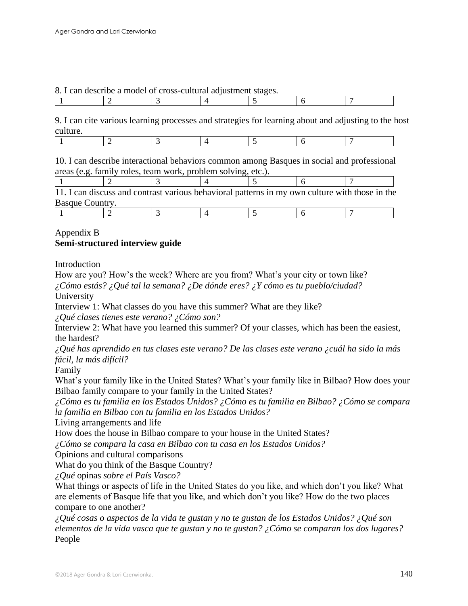#### 8. I can describe a model of cross-cultural adjustment stages.

|--|

9. I can cite various learning processes and strategies for learning about and adjusting to the host culture.

|--|

10. I can describe interactional behaviors common among Basques in social and professional areas (e.g. family roles, team work, problem solving, etc.).

|                 |  |  | 11. I can discuss and contrast various behavioral patterns in my own culture with those in the |
|-----------------|--|--|------------------------------------------------------------------------------------------------|
| Basque Country. |  |  |                                                                                                |

## Appendix B **Semi-structured interview guide**

Introduction

How are you? How's the week? Where are you from? What's your city or town like?

*¿Cómo estás? ¿Qué tal la semana? ¿De dónde eres? ¿Y cómo es tu pueblo/ciudad?* University

Interview 1: What classes do you have this summer? What are they like?

*¿Qué clases tienes este verano? ¿Cómo son?*

Interview 2: What have you learned this summer? Of your classes, which has been the easiest, the hardest?

*¿Qué has aprendido en tus clases este verano? De las clases este verano ¿cuál ha sido la más fácil, la más difícil?*

Family

What's your family like in the United States? What's your family like in Bilbao? How does your Bilbao family compare to your family in the United States?

*¿Cómo es tu familia en los Estados Unidos? ¿Cómo es tu familia en Bilbao? ¿Cómo se compara la familia en Bilbao con tu familia en los Estados Unidos?*

Living arrangements and life

How does the house in Bilbao compare to your house in the United States?

*¿Cómo se compara la casa en Bilbao con tu casa en los Estados Unidos?*

Opinions and cultural comparisons

What do you think of the Basque Country?

*¿Qué* opinas *sobre el País Vasco?*

What things or aspects of life in the United States do you like, and which don't you like? What are elements of Basque life that you like, and which don't you like? How do the two places compare to one another?

*¿Qué cosas o aspectos de la vida te gustan y no te gustan de los Estados Unidos? ¿Qué son elementos de la vida vasca que te gustan y no te gustan? ¿Cómo se comparan los dos lugares?* People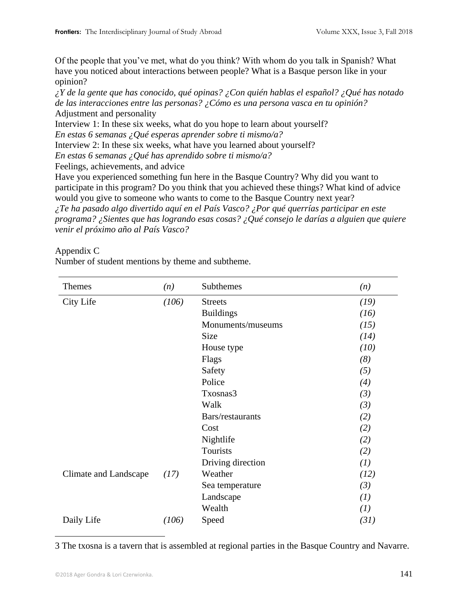Of the people that you've met, what do you think? With whom do you talk in Spanish? What have you noticed about interactions between people? What is a Basque person like in your opinion?

*¿Y de la gente que has conocido, qué opinas? ¿Con quién hablas el español? ¿Qué has notado de las interacciones entre las personas? ¿Cómo es una persona vasca en tu opinión?* Adjustment and personality

Interview 1: In these six weeks, what do you hope to learn about yourself?

*En estas 6 semanas ¿Qué esperas aprender sobre ti mismo/a?*

Interview 2: In these six weeks, what have you learned about yourself?

*En estas 6 semanas ¿Qué has aprendido sobre ti mismo/a?*

Feelings, achievements, and advice

Have you experienced something fun here in the Basque Country? Why did you want to participate in this program? Do you think that you achieved these things? What kind of advice would you give to someone who wants to come to the Basque Country next year?

*¿Te ha pasado algo divertido aquí en el País Vasco? ¿Por qué querrías participar en este programa? ¿Sientes que has logrando esas cosas? ¿Qué consejo le darías a alguien que quiere venir el próximo año al País Vasco?*

#### Appendix C

Number of student mentions by theme and subtheme.

| Themes                | (n)   | Subthemes         | (n)  |
|-----------------------|-------|-------------------|------|
| City Life             | (106) | <b>Streets</b>    | (19) |
|                       |       | <b>Buildings</b>  | (16) |
|                       |       | Monuments/museums | (15) |
|                       |       | <b>Size</b>       | (14) |
|                       |       | House type        | (10) |
|                       |       | Flags             | (8)  |
|                       |       | Safety            | (5)  |
|                       |       | Police            | (4)  |
|                       |       | Txosnas3          | (3)  |
|                       |       | Walk              | (3)  |
|                       |       | Bars/restaurants  | (2)  |
|                       |       | Cost              | (2)  |
|                       |       | Nightlife         | (2)  |
|                       |       | Tourists          | (2)  |
|                       |       | Driving direction | (I)  |
| Climate and Landscape | (17)  | Weather           | (12) |
|                       |       | Sea temperature   | (3)  |
|                       |       | Landscape         | (I)  |
|                       |       | Wealth            | (I)  |
| Daily Life            | (106) | Speed             | (31) |

3 The txosna is a tavern that is assembled at regional parties in the Basque Country and Navarre.

 $\overline{a}$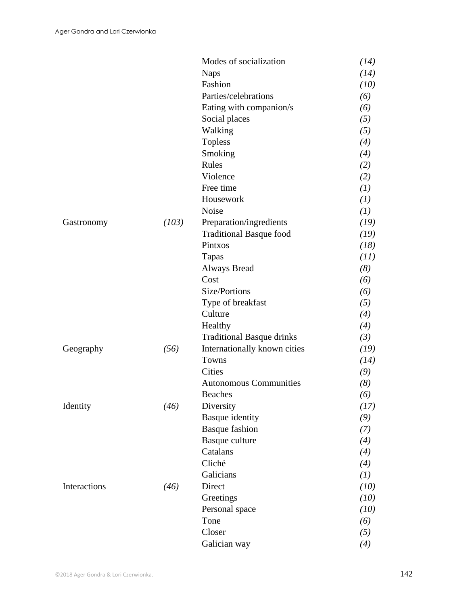|              |       | Modes of socialization           | (14) |
|--------------|-------|----------------------------------|------|
|              |       | <b>Naps</b>                      | (14) |
|              |       | Fashion                          | (10) |
|              |       | Parties/celebrations             | (6)  |
|              |       | Eating with companion/s          | (6)  |
|              |       | Social places                    | (5)  |
|              |       | Walking                          | (5)  |
|              |       | <b>Topless</b>                   | (4)  |
|              |       | Smoking                          | (4)  |
|              |       | Rules                            | (2)  |
|              |       | Violence                         | (2)  |
|              |       | Free time                        | (I)  |
|              |       | Housework                        | (I)  |
|              |       | Noise                            | (I)  |
| Gastronomy   | (103) | Preparation/ingredients          | (19) |
|              |       | <b>Traditional Basque food</b>   | (19) |
|              |       | Pintxos                          | (18) |
|              |       | Tapas                            | (11) |
|              |       | <b>Always Bread</b>              | (8)  |
|              |       | Cost                             | (6)  |
|              |       | Size/Portions                    | (6)  |
|              |       | Type of breakfast                | (5)  |
|              |       | Culture                          | (4)  |
|              |       | Healthy                          | (4)  |
|              |       | <b>Traditional Basque drinks</b> | (3)  |
| Geography    | (56)  | Internationally known cities     | (19) |
|              |       | Towns                            | (14) |
|              |       | <b>Cities</b>                    | (9)  |
|              |       | <b>Autonomous Communities</b>    | (8)  |
|              |       | <b>Beaches</b>                   | (6)  |
| Identity     | (46)  | Diversity                        | (17) |
|              |       | Basque identity                  | (9)  |
|              |       | <b>Basque fashion</b>            | (7)  |
|              |       | Basque culture                   | (4)  |
|              |       | Catalans                         | (4)  |
|              |       | Cliché                           | (4)  |
|              |       | Galicians                        | (I)  |
| Interactions | (46)  | Direct                           | (10) |
|              |       | Greetings                        | (10) |
|              |       | Personal space                   | (10) |
|              |       | Tone                             | (6)  |
|              |       | Closer                           | (5)  |
|              |       | Galician way                     | (4)  |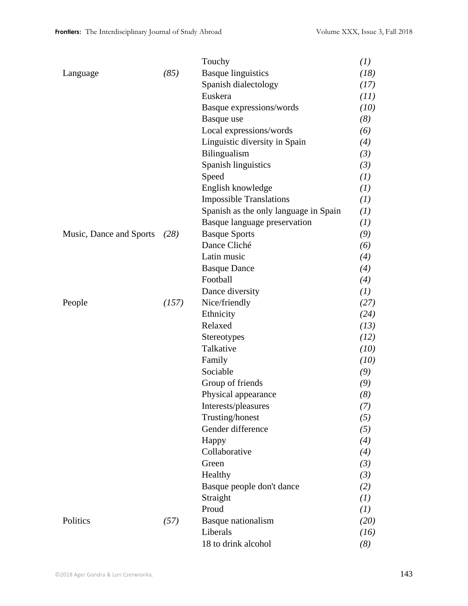|                         |       | Touchy                                | (I)  |
|-------------------------|-------|---------------------------------------|------|
| Language                | (85)  | <b>Basque linguistics</b>             | (18) |
|                         |       | Spanish dialectology                  | (17) |
|                         |       | Euskera                               | (11) |
|                         |       | Basque expressions/words              | (10) |
|                         |       | Basque use                            | (8)  |
|                         |       | Local expressions/words               | (6)  |
|                         |       | Linguistic diversity in Spain         | (4)  |
|                         |       | Bilingualism                          | (3)  |
|                         |       | Spanish linguistics                   | (3)  |
|                         |       | Speed                                 | (I)  |
|                         |       | English knowledge                     | (I)  |
|                         |       | <b>Impossible Translations</b>        | (I)  |
|                         |       | Spanish as the only language in Spain | (I)  |
|                         |       | Basque language preservation          | (I)  |
| Music, Dance and Sports | (28)  | <b>Basque Sports</b>                  | (9)  |
|                         |       | Dance Cliché                          | (6)  |
|                         |       | Latin music                           | (4)  |
|                         |       | <b>Basque Dance</b>                   | (4)  |
|                         |       | Football                              | (4)  |
|                         |       | Dance diversity                       | (I)  |
| People                  | (157) | Nice/friendly                         | (27) |
|                         |       | Ethnicity                             | (24) |
|                         |       | Relaxed                               | (13) |
|                         |       | Stereotypes                           | (12) |
|                         |       | Talkative                             | (10) |
|                         |       | Family                                | (10) |
|                         |       | Sociable                              | (9)  |
|                         |       | Group of friends                      | (9)  |
|                         |       | Physical appearance                   | (8)  |
|                         |       | Interests/pleasures                   | (7)  |
|                         |       | Trusting/honest                       | (5)  |
|                         |       | Gender difference                     | (5)  |
|                         |       | Happy                                 | (4)  |
|                         |       | Collaborative                         | (4)  |
|                         |       | Green                                 | (3)  |
|                         |       | Healthy                               | (3)  |
|                         |       | Basque people don't dance             | (2)  |
|                         |       | Straight                              | (I)  |
|                         |       | Proud                                 | (I)  |
| Politics                | (57)  | Basque nationalism                    | (20) |
|                         |       | Liberals                              | (16) |
|                         |       | 18 to drink alcohol                   | (8)  |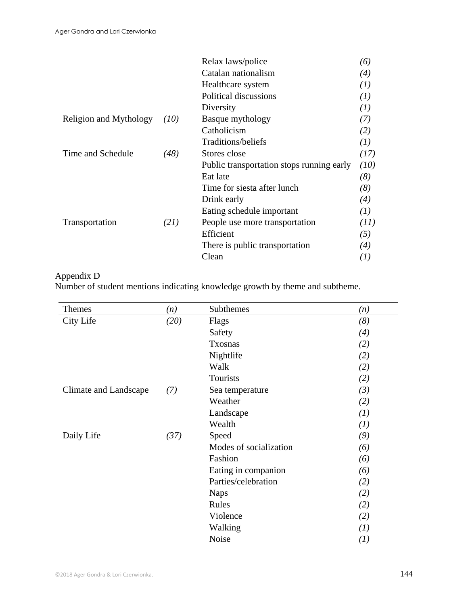|                        |      | Relax laws/police                         | (6)  |
|------------------------|------|-------------------------------------------|------|
|                        |      | Catalan nationalism                       | (4)  |
|                        |      | Healthcare system                         | (I)  |
|                        |      | Political discussions                     | (I)  |
|                        |      | Diversity                                 | (I)  |
| Religion and Mythology | (10) | Basque mythology                          | (7)  |
|                        |      | Catholicism                               | (2)  |
|                        |      | Traditions/beliefs                        | (I)  |
| Time and Schedule      | (48) | Stores close                              | (17) |
|                        |      | Public transportation stops running early | (10) |
|                        |      | Eat late                                  | (8)  |
|                        |      | Time for siesta after lunch               | (8)  |
|                        |      | Drink early                               | (4)  |
|                        |      | Eating schedule important                 | (I)  |
| Transportation         | (21) | People use more transportation            | (11) |
|                        |      | Efficient                                 | (5)  |
|                        |      | There is public transportation            | (4)  |
|                        |      | Clean                                     | (I)  |
|                        |      |                                           |      |

## Appendix D

Number of student mentions indicating knowledge growth by theme and subtheme.

| Themes                | (n)  | Subthemes              | (n)              |
|-----------------------|------|------------------------|------------------|
| City Life             | (20) | Flags                  | (8)              |
|                       |      | Safety                 | (4)              |
|                       |      | Txosnas                | (2)              |
|                       |      | Nightlife              | (2)              |
|                       |      | Walk                   | (2)              |
|                       |      | Tourists               | (2)              |
| Climate and Landscape | (7)  | Sea temperature        | (3)              |
|                       |      | Weather                | (2)              |
|                       |      | Landscape              | (1)              |
|                       |      | Wealth                 | (1)              |
| Daily Life            | (37) | Speed                  | (9)              |
|                       |      | Modes of socialization | (6)              |
|                       |      | Fashion                | (6)              |
|                       |      | Eating in companion    | (6)              |
|                       |      | Parties/celebration    | (2)              |
|                       |      | <b>Naps</b>            | (2)              |
|                       |      | Rules                  | (2)              |
|                       |      | Violence               | (2)              |
|                       |      | Walking                | (1)              |
|                       |      | Noise                  | $\left(1\right)$ |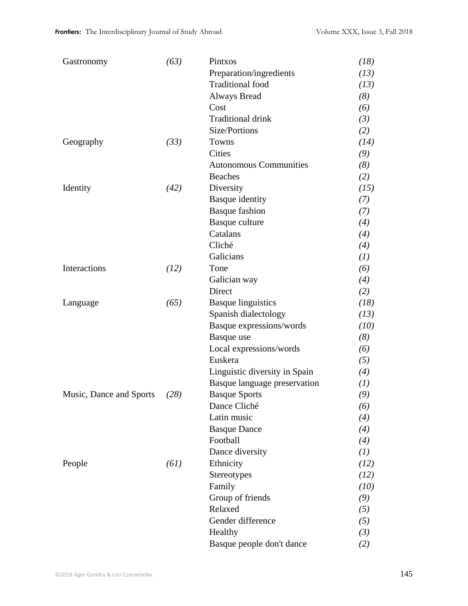| Gastronomy              | (63) | Pintxos                       | (18) |
|-------------------------|------|-------------------------------|------|
|                         |      | Preparation/ingredients       | (13) |
|                         |      | <b>Traditional</b> food       | (13) |
|                         |      | <b>Always Bread</b>           | (8)  |
|                         |      | Cost                          | (6)  |
|                         |      | <b>Traditional drink</b>      | (3)  |
|                         |      | Size/Portions                 | (2)  |
| Geography               | (33) | Towns                         | (14) |
|                         |      | Cities                        | (9)  |
|                         |      | <b>Autonomous Communities</b> | (8)  |
|                         |      | <b>Beaches</b>                | (2)  |
| Identity                | (42) | Diversity                     | (15) |
|                         |      | <b>Basque</b> identity        | (7)  |
|                         |      | <b>Basque fashion</b>         | (7)  |
|                         |      | Basque culture                | (4)  |
|                         |      | Catalans                      | (4)  |
|                         |      | Cliché                        | (4)  |
|                         |      | Galicians                     | (1)  |
| Interactions            | (12) | Tone                          | (6)  |
|                         |      | Galician way                  | (4)  |
|                         |      | Direct                        | (2)  |
| Language                | (65) | <b>Basque linguistics</b>     | (18) |
|                         |      | Spanish dialectology          | (13) |
|                         |      | Basque expressions/words      | (10) |
|                         |      | Basque use                    | (8)  |
|                         |      | Local expressions/words       | (6)  |
|                         |      | Euskera                       | (5)  |
|                         |      | Linguistic diversity in Spain | (4)  |
|                         |      | Basque language preservation  | (I)  |
| Music, Dance and Sports | (28) | <b>Basque Sports</b>          | (9)  |
|                         |      | Dance Cliché                  | (6)  |
|                         |      | Latin music                   | (4)  |
|                         |      | <b>Basque Dance</b>           | (4)  |
|                         |      | Football                      | (4)  |
|                         |      | Dance diversity               | (I)  |
| People                  | (61) | Ethnicity                     | (12) |
|                         |      | Stereotypes                   | (12) |
|                         |      | Family                        | (10) |
|                         |      | Group of friends              | (9)  |
|                         |      | Relaxed                       | (5)  |
|                         |      | Gender difference             | (5)  |
|                         |      | Healthy                       | (3)  |
|                         |      | Basque people don't dance     | (2)  |